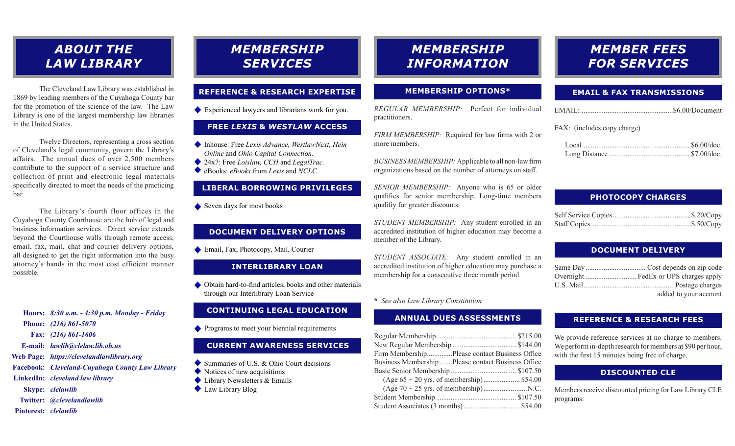## *ABOUT THE LAW LIBRARY*

The Cleveland Law Library was established in 1869 by leading members of the Cuyahoga County bar for the promotion of the science of the law. The Law Library is one of the largest membership law libraries in the United States.

Twelve Directors, representing a cross section of Cleveland's legal community, govern the Library's affairs. The annual dues of over 2,500 members contribute to the support of a service structure and collection of print and electronic legal materials specifically directed to meet the needs of the practicing bar.

The Library's fourth floor offices in the Cuyahoga County Courthouse are the hub of legal and business information services. Direct service extends beyond the Courthouse walls through remote access, email, fax, mail, chat and courier delivery options, all designed to get the right information into the busy attorney's hands in the most cost efficient manner possible.

*8:30 a.m. - 4:30 p.m. Monday - Friday* **Hours:** *(216) 861-5070* **Phone:** *(216) 861-1606* **Fax:** *lawlib@clelaw.lib.oh.us* **E-mail:** *https://clevelandlawlibrary.org* **Web Page:** *Cleveland-Cuyahoga County Law Library* **Facebook:** *cleveland law library* **LinkedIn:**

- *clelawlib* **Skype:**
- *@clevelandlawlib* **Twitter:**

#### *clelawlib* **Pinterest:**

## *MEMBERSHIP SERVICES*

### **REFERENCE & RESEARCH EXPERTISE**

Experienced lawyers and librarians work for you.

## **FREE** *LEXIS* **&** *WESTLAW* **ACCESS**

- ◆ Inhouse: Free *Lexis Advance, WestlawNext, Hein Online* and *Ohio Capital Connection*.
- 24x7: Free *Loislaw, CCH* and *LegalTrac.*
- eBooks: *eBooks* from *Lexis* and *NCLC.*

## **LIBERAL BORROWING PRIVILEGES**

Seven days for most books

## **DOCUMENT DELIVERY OPTIONS**

◆ Email, Fax, Photocopy, Mail, Courier

#### **INTERLIBRARY LOAN**

Obtain hard-to-find articles, books and other materials through our Interlibrary Loan Service

#### **CONTINUING LEGAL EDUCATION**

**Programs to meet your biennial requirements** 

## **CURRENT AWARENESS SERVICES**

- Summaries of U.S. & Ohio Court decisions
- Notices of new acquisitions
- ◆ Library Newsletters & Emails
- Law Library Blog

## *MEMBERSHIP INFORMATION*

#### **MEMBERSHIP OPTIONS\***

*REGULAR MEMBERSHIP:* Perfect for individual practitioners.

*FIRM MEMBERSHIP:* Required for law firms with 2 or more members.

*BUSINESS MEMBERSHIP:* Applicable to all non-law firm organizations based on the number of attorneys on staff.

*SENIOR MEMBERSHIP:* Anyone who is 65 or older qualifies for senior membership. Long-time members qualifiy for greater discounts.

*STUDENT MEMBERSHIP:* Any student enrolled in an accredited institution of higher education may become a member of the Library.

*STUDENT ASSOCIATE:* Any student enrolled in an accredited institution of higher education may purchase a membership for a consecutive three month period.

#### **\*** *See also Law Library Constitution*

#### **ANNUAL DUES ASSESSMENTS**

| Firm MembershipPlease contact Business Office      |  |
|----------------------------------------------------|--|
| Business Membership Please contact Business Office |  |
|                                                    |  |
| (Age $65 + 20$ yrs. of membership) \$54.00         |  |
|                                                    |  |
|                                                    |  |
|                                                    |  |

## *MEMBER FEES FOR SERVICES*

### **EMAIL & FAX TRANSMISSIONS**

|--|

#### FAX: (includes copy charge)

## **PHOTOCOPY CHARGES**

### **DOCUMENT DELIVERY**

| added to your account |
|-----------------------|

### **REFERENCE & RESEARCH FEES**

We provide reference services at no charge to members. We perform in-depth research for members at \$90 per hour, with the first 15 minutes being free of charge.

#### **DISCOUNTED CLE**

Members receive discounted pricing for Law Library CLE programs.